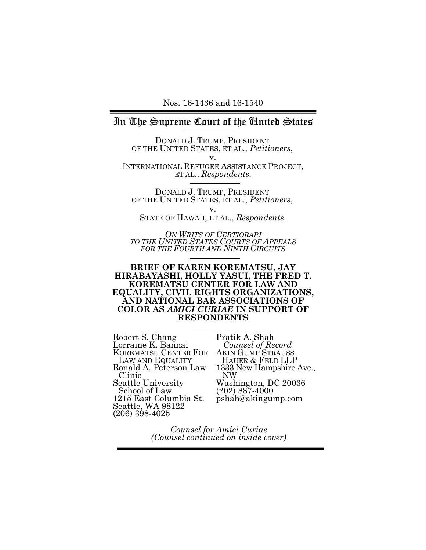# In The Supreme Court of the United States

DONALD J. TRUMP, PRESIDENT OF THE UNITED STATES, ET AL., *Petitioners*,

v. INTERNATIONAL REFUGEE ASSISTANCE PROJECT, ET AL., *Respondents.*

DONALD J. TRUMP, PRESIDENT OF THE UNITED STATES, ET AL., *Petitioners*, v.

STATE OF HAWAII, ET AL., *Respondents.*

*ON WRITS OF CERTIORARI TO THE UNITED STATES COURTS OF APPEALS FOR THE FOURTH AND NINTH CIRCUITS*

#### **BRIEF OF KAREN KOREMATSU, JAY HIRABAYASHI, HOLLY YASUI, THE FRED T. KOREMATSU CENTER FOR LAW AND EQUALITY, CIVIL RIGHTS ORGANIZATIONS, AND NATIONAL BAR ASSOCIATIONS OF COLOR AS** *AMICI CURIAE* **IN SUPPORT OF RESPONDENTS**

Robert S. Chang Lorraine K. Bannai KOREMATSU CENTER FOR LAW AND EQUALITY Ronald A. Peterson Law Clinic Seattle University School of Law 1215 East Columbia St. Seattle, WA 98122 (206) 398-4025

Pratik A. Shah  *Counsel of Record* AKIN GUMP STRAUSS HAUER & FELD LLP 1333 New Hampshire Ave., NW Washington, DC 20036 (202) 887-4000 pshah@akingump.com

*Counsel for Amici Curiae (Counsel continued on inside cover)*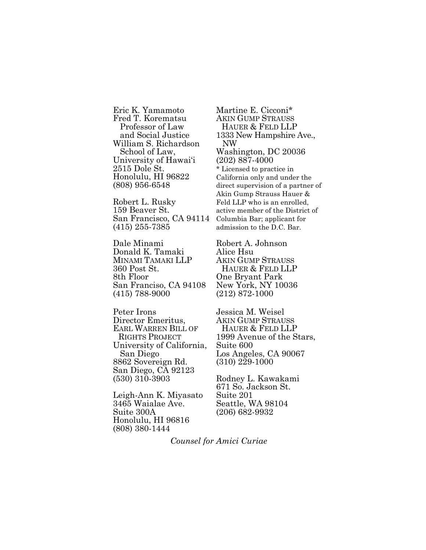Eric K. Yamamoto Fred T. Korematsu Professor of Law and Social Justice William S. Richardson School of Law, University of Hawai'i 2515 Dole St. Honolulu, HI 96822 (808) 956-6548

Robert L. Rusky 159 Beaver St. San Francisco, CA 94114 (415) 255-7385

Dale Minami Donald K. Tamaki MINAMI TAMAKI LLP 360 Post St. 8th Floor San Franciso, CA 94108 (415) 788-9000

Peter Irons Director Emeritus, EARL WARREN BILL OF RIGHTS PROJECT University of California, San Diego 8862 Sovereign Rd. San Diego, CA 92123 (530) 310-3903

Leigh-Ann K. Miyasato 3465 Waialae Ave. Suite 300A Honolulu, HI 96816 (808) 380-1444

Martine E. Cicconi\* AKIN GUMP STRAUSS HAUER & FELD LLP 1333 New Hampshire Ave., NW Washington, DC 20036 (202) 887-4000 \* Licensed to practice in California only and under the direct supervision of a partner of Akin Gump Strauss Hauer & Feld LLP who is an enrolled, active member of the District of Columbia Bar; applicant for admission to the D.C. Bar.

Robert A. Johnson Alice Hsu AKIN GUMP STRAUSS HAUER & FELD LLP One Bryant Park New York, NY 10036 (212) 872-1000

Jessica M. Weisel AKIN GUMP STRAUSS HAUER & FELD LLP 1999 Avenue of the Stars, Suite 600 Los Angeles, CA 90067 (310) 229-1000

Rodney L. Kawakami 671 So. Jackson St. Suite 201 Seattle, WA 98104 (206) 682-9932

*Counsel for Amici Curiae*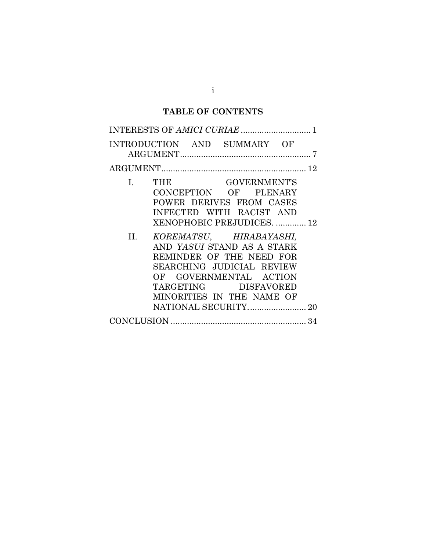# **TABLE OF CONTENTS**

| INTRODUCTION AND SUMMARY OF |                                                                                                                                                                                                   |              |  |  |
|-----------------------------|---------------------------------------------------------------------------------------------------------------------------------------------------------------------------------------------------|--------------|--|--|
|                             |                                                                                                                                                                                                   |              |  |  |
| $\mathbf{I}$ .              | THE<br>CONCEPTION OF PLENARY<br>POWER DERIVES FROM CASES<br>INFECTED WITH RACIST AND<br>XENOPHOBIC PREJUDICES.  12                                                                                | GOVERNMENT'S |  |  |
|                             | II. KOREMATSU, HIRABAYASHI,<br>AND YASUI STAND AS A STARK<br>REMINDER OF THE NEED FOR<br>SEARCHING JUDICIAL REVIEW<br>OF GOVERNMENTAL ACTION<br>TARGETING DISFAVORED<br>MINORITIES IN THE NAME OF |              |  |  |
|                             |                                                                                                                                                                                                   |              |  |  |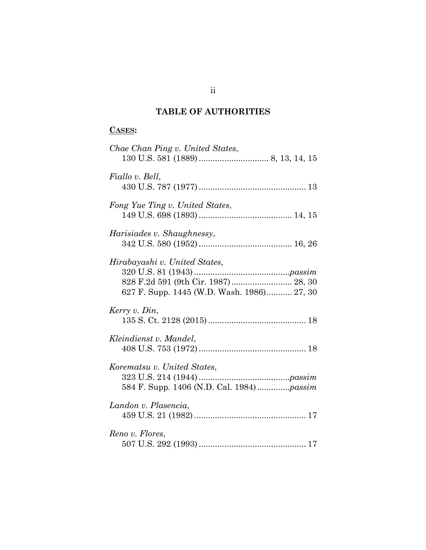# **TABLE OF AUTHORITIES**

## **CASES:**

| Chae Chan Ping v. United States,                                                                                   |
|--------------------------------------------------------------------------------------------------------------------|
| Fiallo v. Bell,                                                                                                    |
| Fong Yue Ting v. United States,                                                                                    |
| Harisiades v. Shaughnessy,                                                                                         |
| Hirabayashi v. United States,<br>828 F.2d 591 (9th Cir. 1987) 28, 30<br>627 F. Supp. 1445 (W.D. Wash. 1986) 27, 30 |
| Kerry v. Din,                                                                                                      |
| Kleindienst v. Mandel,                                                                                             |
| Korematsu v. United States,<br>584 F. Supp. 1406 (N.D. Cal. 1984)passim                                            |
| Landon v. Plasencia,                                                                                               |
| Reno v. Flores,                                                                                                    |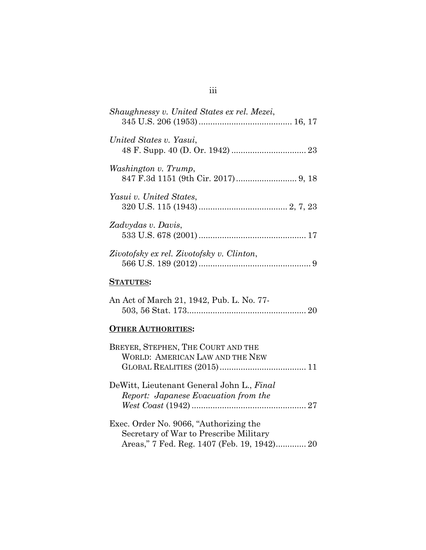| Shaughnessy v. United States ex rel. Mezei,                                                                                     |
|---------------------------------------------------------------------------------------------------------------------------------|
| United States v. Yasui,                                                                                                         |
| Washington v. Trump,                                                                                                            |
| Yasui v. United States,                                                                                                         |
| Zadvydas v. Davis,                                                                                                              |
| Zivotofsky ex rel. Zivotofsky v. Clinton,                                                                                       |
| <b>STATUTES:</b>                                                                                                                |
| An Act of March 21, 1942, Pub. L. No. 77-                                                                                       |
| <b>OTHER AUTHORITIES:</b>                                                                                                       |
| BREYER, STEPHEN, THE COURT AND THE<br><b>WORLD: AMERICAN LAW AND THE NEW</b>                                                    |
| DeWitt, Lieutenant General John L., Final<br>Report: Japanese Evacuation from the                                               |
| Exec. Order No. 9066, "Authorizing the<br>Secretary of War to Prescribe Military<br>Areas," 7 Fed. Reg. 1407 (Feb. 19, 1942) 20 |

# iii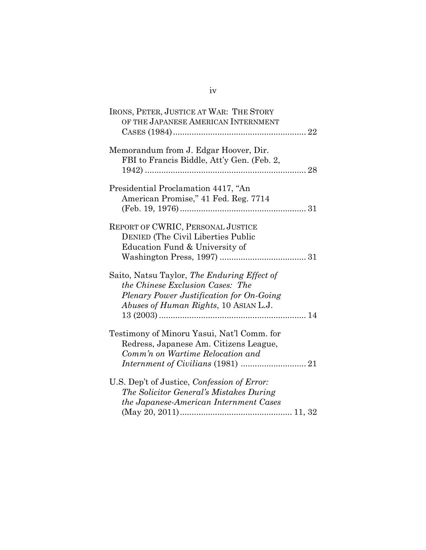| IRONS, PETER, JUSTICE AT WAR: THE STORY<br>OF THE JAPANESE AMERICAN INTERNMENT                                                                                       |  |
|----------------------------------------------------------------------------------------------------------------------------------------------------------------------|--|
|                                                                                                                                                                      |  |
| Memorandum from J. Edgar Hoover, Dir.<br>FBI to Francis Biddle, Att'y Gen. (Feb. 2,                                                                                  |  |
| Presidential Proclamation 4417, "An<br>American Promise," 41 Fed. Reg. 7714                                                                                          |  |
| REPORT OF CWRIC, PERSONAL JUSTICE<br><b>DENIED (The Civil Liberties Public</b><br>Education Fund & University of                                                     |  |
| Saito, Natsu Taylor, The Enduring Effect of<br>the Chinese Exclusion Cases: The<br>Plenary Power Justification for On-Going<br>Abuses of Human Rights, 10 ASIAN L.J. |  |
| Testimony of Minoru Yasui, Nat'l Comm. for<br>Redress, Japanese Am. Citizens League,<br>Comm'n on Wartime Relocation and                                             |  |
| U.S. Dep't of Justice, Confession of Error:<br>The Solicitor General's Mistakes During<br>the Japanese-American Internment Cases                                     |  |

# iv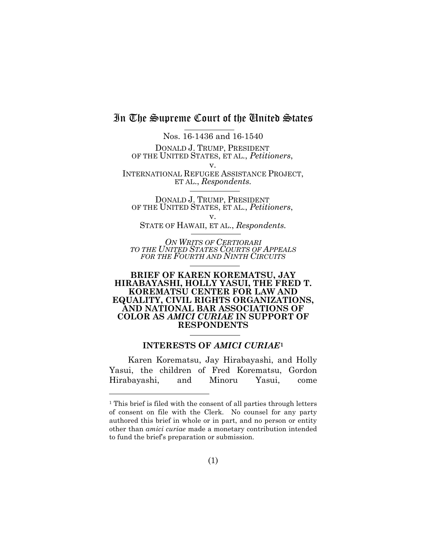# In The Supreme Court of the United States

Nos. 16-1436 and 16-1540 DONALD J. TRUMP, PRESIDENT OF THE UNITED STATES, ET AL., *Petitioners*, v.

INTERNATIONAL REFUGEE ASSISTANCE PROJECT, ET AL., *Respondents.*

DONALD J. TRUMP, PRESIDENT OF THE UNITED STATES, ET AL., *Petitioners*,

v. STATE OF HAWAII, ET AL., *Respondents.*

*ON WRITS OF CERTIORARI TO THE UNITED STATES COURTS OF APPEALS FOR THE FOURTH AND NINTH CIRCUITS*

#### **BRIEF OF KAREN KOREMATSU, JAY HIRABAYASHI, HOLLY YASUI, THE FRED T. KOREMATSU CENTER FOR LAW AND EQUALITY, CIVIL RIGHTS ORGANIZATIONS, AND NATIONAL BAR ASSOCIATIONS OF COLOR AS** *AMICI CURIAE* **IN SUPPORT OF RESPONDENTS**

#### **INTERESTS OF** *AMICI CURIAE***[1](#page-6-1)**

<span id="page-6-0"></span>Karen Korematsu, Jay Hirabayashi, and Holly Yasui, the children of Fred Korematsu, Gordon Hirabayashi, and Minoru Yasui, come

<span id="page-6-1"></span><sup>&</sup>lt;sup>1</sup> This brief is filed with the consent of all parties through letters of consent on file with the Clerk. No counsel for any party authored this brief in whole or in part, and no person or entity other than *amici curiae* made a monetary contribution intended to fund the brief's preparation or submission.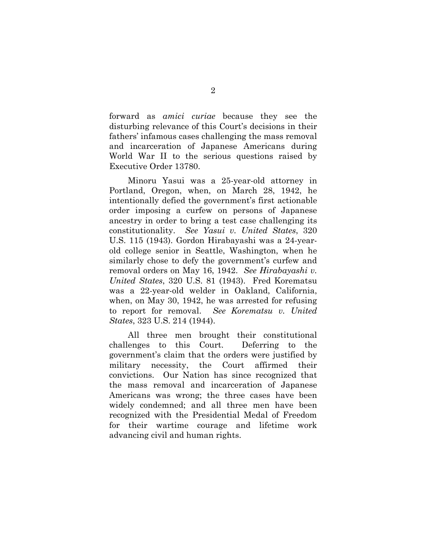forward as *amici curiae* because they see the disturbing relevance of this Court's decisions in their fathers' infamous cases challenging the mass removal and incarceration of Japanese Americans during World War II to the serious questions raised by Executive Order 13780.

<span id="page-7-2"></span>Minoru Yasui was a 25-year-old attorney in Portland, Oregon, when, on March 28, 1942, he intentionally defied the government's first actionable order imposing a curfew on persons of Japanese ancestry in order to bring a test case challenging its constitutionality. *See Yasui v. United States*, 320 U.S. 115 (1943). Gordon Hirabayashi was a 24-yearold college senior in Seattle, Washington, when he similarly chose to defy the government's curfew and removal orders on May 16, 1942. *See Hirabayashi v. United States*, 320 U.S. 81 (1943). Fred Korematsu was a 22-year-old welder in Oakland, California, when, on May 30, 1942, he was arrested for refusing to report for removal. *See Korematsu v. United States*, 323 U.S. 214 (1944).

<span id="page-7-1"></span><span id="page-7-0"></span>All three men brought their constitutional challenges to this Court. Deferring to the government's claim that the orders were justified by military necessity, the Court affirmed their convictions. Our Nation has since recognized that the mass removal and incarceration of Japanese Americans was wrong; the three cases have been widely condemned; and all three men have been recognized with the Presidential Medal of Freedom for their wartime courage and lifetime work advancing civil and human rights.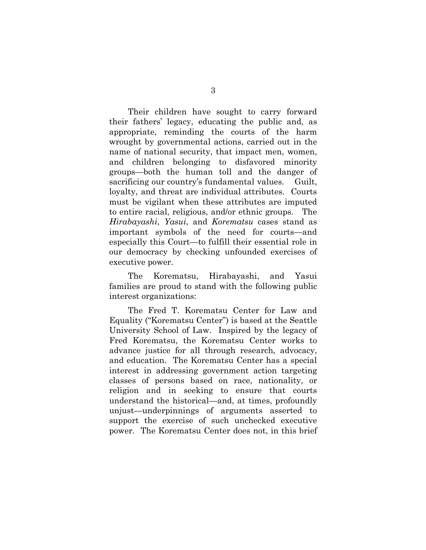Their children have sought to carry forward their fathers' legacy, educating the public and, as appropriate, reminding the courts of the harm wrought by governmental actions, carried out in the name of national security, that impact men, women, and children belonging to disfavored minority groups—both the human toll and the danger of sacrificing our country's fundamental values. Guilt, loyalty, and threat are individual attributes. Courts must be vigilant when these attributes are imputed to entire racial, religious, and/or ethnic groups. The *Hirabayashi*, *Yasui*, and *Korematsu* cases stand as important symbols of the need for courts—and especially this Court—to fulfill their essential role in our democracy by checking unfounded exercises of executive power.

The Korematsu, Hirabayashi, and Yasui families are proud to stand with the following public interest organizations:

The Fred T. Korematsu Center for Law and Equality ("Korematsu Center") is based at the Seattle University School of Law. Inspired by the legacy of Fred Korematsu, the Korematsu Center works to advance justice for all through research, advocacy, and education. The Korematsu Center has a special interest in addressing government action targeting classes of persons based on race, nationality, or religion and in seeking to ensure that courts understand the historical—and, at times, profoundly unjust—underpinnings of arguments asserted to support the exercise of such unchecked executive power. The Korematsu Center does not, in this brief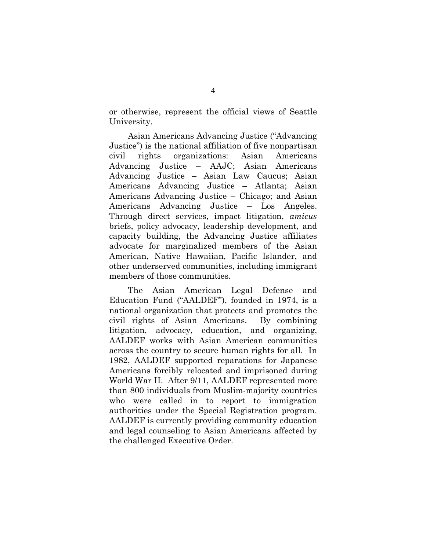or otherwise, represent the official views of Seattle University.

Asian Americans Advancing Justice ("Advancing Justice") is the national affiliation of five nonpartisan civil rights organizations: Asian Americans Advancing Justice – AAJC; Asian Americans Advancing Justice – Asian Law Caucus; Asian Americans Advancing Justice – Atlanta; Asian Americans Advancing Justice – Chicago; and Asian Americans Advancing Justice – Los Angeles. Through direct services, impact litigation, *amicus*  briefs, policy advocacy, leadership development, and capacity building, the Advancing Justice affiliates advocate for marginalized members of the Asian American, Native Hawaiian, Pacific Islander, and other underserved communities, including immigrant members of those communities.

The Asian American Legal Defense and Education Fund ("AALDEF"), founded in 1974, is a national organization that protects and promotes the civil rights of Asian Americans. By combining litigation, advocacy, education, and organizing, AALDEF works with Asian American communities across the country to secure human rights for all. In 1982, AALDEF supported reparations for Japanese Americans forcibly relocated and imprisoned during World War II. After 9/11, AALDEF represented more than 800 individuals from Muslim-majority countries who were called in to report to immigration authorities under the Special Registration program. AALDEF is currently providing community education and legal counseling to Asian Americans affected by the challenged Executive Order.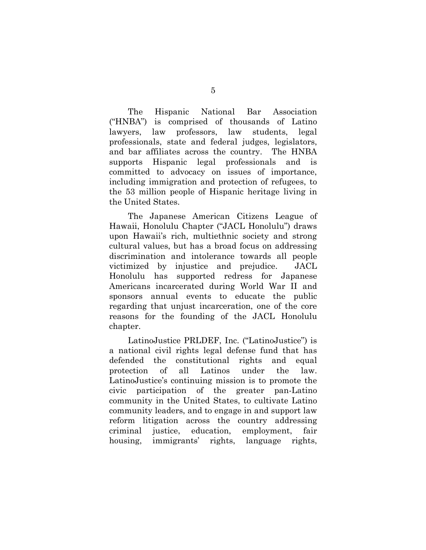The Hispanic National Bar Association ("HNBA") is comprised of thousands of Latino lawyers, law professors, law students, legal professionals, state and federal judges, legislators, and bar affiliates across the country. The HNBA supports Hispanic legal professionals and is committed to advocacy on issues of importance, including immigration and protection of refugees, to the 53 million people of Hispanic heritage living in the United States.

The Japanese American Citizens League of Hawaii, Honolulu Chapter ("JACL Honolulu") draws upon Hawaii's rich, multiethnic society and strong cultural values, but has a broad focus on addressing discrimination and intolerance towards all people victimized by injustice and prejudice. JACL Honolulu has supported redress for Japanese Americans incarcerated during World War II and sponsors annual events to educate the public regarding that unjust incarceration, one of the core reasons for the founding of the JACL Honolulu chapter.

LatinoJustice PRLDEF, Inc. ("LatinoJustice") is a national civil rights legal defense fund that has defended the constitutional rights and equal protection of all Latinos under the law. LatinoJustice's continuing mission is to promote the civic participation of the greater pan-Latino community in the United States, to cultivate Latino community leaders, and to engage in and support law reform litigation across the country addressing criminal justice, education, employment, fair housing, immigrants' rights, language rights,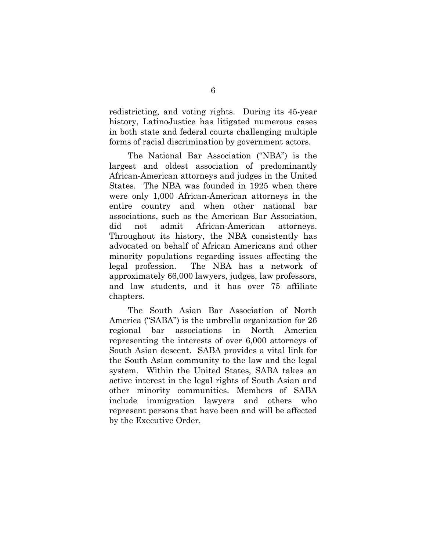redistricting, and voting rights. During its 45-year history, LatinoJustice has litigated numerous cases in both state and federal courts challenging multiple forms of racial discrimination by government actors.

The National Bar Association ("NBA") is the largest and oldest association of predominantly African-American attorneys and judges in the United States. The NBA was founded in 1925 when there were only 1,000 African-American attorneys in the entire country and when other national bar associations, such as the American Bar Association, did not admit African-American attorneys. Throughout its history, the NBA consistently has advocated on behalf of African Americans and other minority populations regarding issues affecting the legal profession. The NBA has a network of approximately 66,000 lawyers, judges, law professors, and law students, and it has over 75 affiliate chapters.

The South Asian Bar Association of North America ("SABA") is the umbrella organization for 26 regional bar associations in North America representing the interests of over 6,000 attorneys of South Asian descent. SABA provides a vital link for the South Asian community to the law and the legal system. Within the United States, SABA takes an active interest in the legal rights of South Asian and other minority communities. Members of SABA include immigration lawyers and others who represent persons that have been and will be affected by the Executive Order.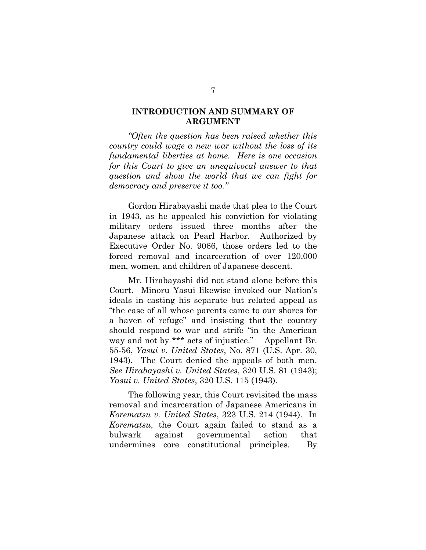#### <span id="page-12-0"></span>**INTRODUCTION AND SUMMARY OF ARGUMENT**

*"Often the question has been raised whether this country could wage a new war without the loss of its fundamental liberties at home. Here is one occasion for this Court to give an unequivocal answer to that question and show the world that we can fight for democracy and preserve it too."*

Gordon Hirabayashi made that plea to the Court in 1943, as he appealed his conviction for violating military orders issued three months after the Japanese attack on Pearl Harbor. Authorized by Executive Order No. 9066, those orders led to the forced removal and incarceration of over 120,000 men, women, and children of Japanese descent.

Mr. Hirabayashi did not stand alone before this Court. Minoru Yasui likewise invoked our Nation's ideals in casting his separate but related appeal as "the case of all whose parents came to our shores for a haven of refuge" and insisting that the country should respond to war and strife "in the American way and not by \*\*\* acts of injustice." Appellant Br. 55-56, *Yasui v. United States*, No. 871 (U.S. Apr. 30, 1943). The Court denied the appeals of both men. *See Hirabayashi v. United States*, 320 U.S. 81 (1943); *Yasui v. United States*, 320 U.S. 115 (1943).

The following year, this Court revisited the mass removal and incarceration of Japanese Americans in *Korematsu v. United States*, 323 U.S. 214 (1944). In *Korematsu*, the Court again failed to stand as a bulwark against governmental action that undermines core constitutional principles. By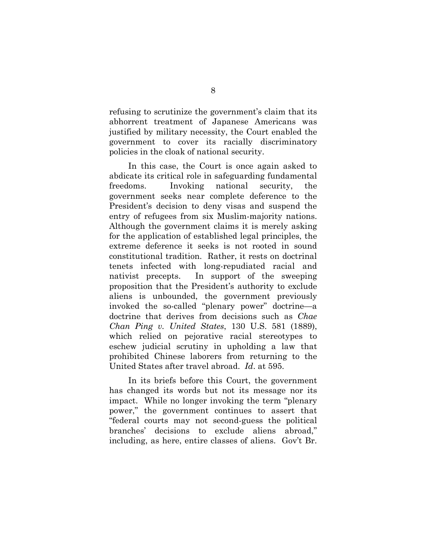refusing to scrutinize the government's claim that its abhorrent treatment of Japanese Americans was justified by military necessity, the Court enabled the government to cover its racially discriminatory policies in the cloak of national security.

In this case, the Court is once again asked to abdicate its critical role in safeguarding fundamental freedoms. Invoking national security, the government seeks near complete deference to the President's decision to deny visas and suspend the entry of refugees from six Muslim-majority nations. Although the government claims it is merely asking for the application of established legal principles, the extreme deference it seeks is not rooted in sound constitutional tradition. Rather, it rests on doctrinal tenets infected with long-repudiated racial and nativist precepts. In support of the sweeping proposition that the President's authority to exclude aliens is unbounded, the government previously invoked the so-called "plenary power" doctrine—a doctrine that derives from decisions such as *Chae Chan Ping v. United States*, 130 U.S. 581 (1889), which relied on pejorative racial stereotypes to eschew judicial scrutiny in upholding a law that prohibited Chinese laborers from returning to the United States after travel abroad. *Id*. at 595.

<span id="page-13-0"></span>In its briefs before this Court, the government has changed its words but not its message nor its impact. While no longer invoking the term "plenary power," the government continues to assert that "federal courts may not second-guess the political branches' decisions to exclude aliens abroad," including, as here, entire classes of aliens. Gov't Br.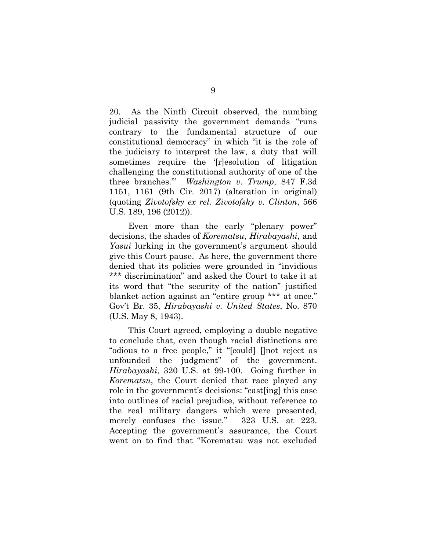20. As the Ninth Circuit observed, the numbing judicial passivity the government demands "runs contrary to the fundamental structure of our constitutional democracy" in which "it is the role of the judiciary to interpret the law, a duty that will sometimes require the '[r]esolution of litigation challenging the constitutional authority of one of the three branches.'" *Washington v. Trump*, 847 F.3d 1151, 1161 (9th Cir. 2017) (alteration in original) (quoting *Zivotofsky ex rel. Zivotofsky v. Clinton*, 566 U.S. 189, 196 (2012)).

<span id="page-14-1"></span><span id="page-14-0"></span>Even more than the early "plenary power" decisions, the shades of *Korematsu*, *Hirabayashi*, and *Yasui* lurking in the government's argument should give this Court pause. As here, the government there denied that its policies were grounded in "invidious \*\*\* discrimination" and asked the Court to take it at its word that "the security of the nation" justified blanket action against an "entire group \*\*\* at once." Gov't Br. 35, *Hirabayashi v. United States*, No. 870 (U.S. May 8, 1943).

This Court agreed, employing a double negative to conclude that, even though racial distinctions are "odious to a free people," it "[could] []not reject as unfounded the judgment" of the government. *Hirabayashi*, 320 U.S. at 99-100. Going further in *Korematsu*, the Court denied that race played any role in the government's decisions: "cast[ing] this case into outlines of racial prejudice, without reference to the real military dangers which were presented, merely confuses the issue." 323 U.S. at 223. Accepting the government's assurance, the Court went on to find that "Korematsu was not excluded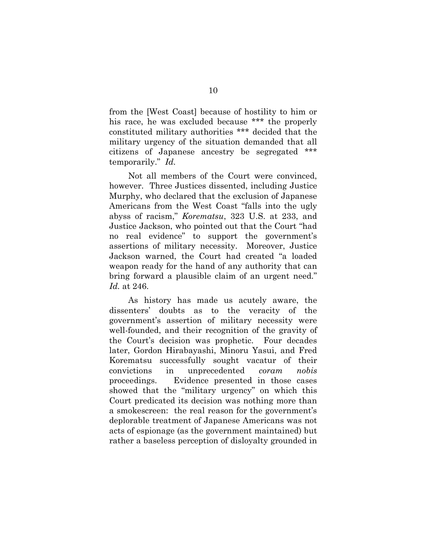from the [West Coast] because of hostility to him or his race, he was excluded because \*\*\* the properly constituted military authorities \*\*\* decided that the military urgency of the situation demanded that all citizens of Japanese ancestry be segregated \*\*\* temporarily." *Id.*

Not all members of the Court were convinced, however. Three Justices dissented, including Justice Murphy, who declared that the exclusion of Japanese Americans from the West Coast "falls into the ugly abyss of racism," *Korematsu*, 323 U.S. at 233, and Justice Jackson, who pointed out that the Court "had no real evidence" to support the government's assertions of military necessity. Moreover, Justice Jackson warned, the Court had created "a loaded weapon ready for the hand of any authority that can bring forward a plausible claim of an urgent need." *Id.* at 246.

As history has made us acutely aware, the dissenters' doubts as to the veracity of the government's assertion of military necessity were well-founded, and their recognition of the gravity of the Court's decision was prophetic. Four decades later, Gordon Hirabayashi, Minoru Yasui, and Fred Korematsu successfully sought vacatur of their convictions in unprecedented *coram nobis*  proceedings. Evidence presented in those cases showed that the "military urgency" on which this Court predicated its decision was nothing more than a smokescreen: the real reason for the government's deplorable treatment of Japanese Americans was not acts of espionage (as the government maintained) but rather a baseless perception of disloyalty grounded in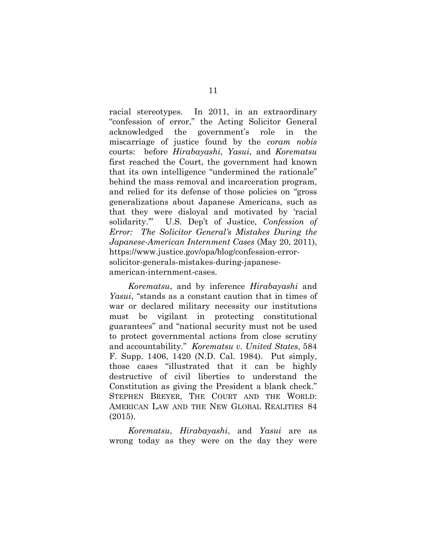racial stereotypes. In 2011, in an extraordinary "confession of error," the Acting Solicitor General acknowledged the government's role in the miscarriage of justice found by the *coram nobis* courts: before *Hirabayashi*, *Yasui*, and *Korematsu* first reached the Court, the government had known that its own intelligence "undermined the rationale" behind the mass removal and incarceration program, and relied for its defense of those policies on "gross generalizations about Japanese Americans, such as that they were disloyal and motivated by 'racial solidarity.'" U.S. Dep't of Justice, *Confession of Error: The Solicitor General's Mistakes During the Japanese-American Internment Cases* (May 20, 2011), https://www.justice.gov/opa/blog/confession-errorsolicitor-generals-mistakes-during-japaneseamerican-internment-cases.

<span id="page-16-2"></span><span id="page-16-0"></span>*Korematsu*, and by inference *Hirabayashi* and *Yasui*, "stands as a constant caution that in times of war or declared military necessity our institutions must be vigilant in protecting constitutional guarantees" and "national security must not be used to protect governmental actions from close scrutiny and accountability." *Korematsu v. United States*, 584 F. Supp. 1406, 1420 (N.D. Cal. 1984). Put simply, those cases "illustrated that it can be highly destructive of civil liberties to understand the Constitution as giving the President a blank check." STEPHEN BREYER, THE COURT AND THE WORLD: AMERICAN LAW AND THE NEW GLOBAL REALITIES 84 (2015).

<span id="page-16-1"></span>*Korematsu*, *Hirabayashi*, and *Yasui* are as wrong today as they were on the day they were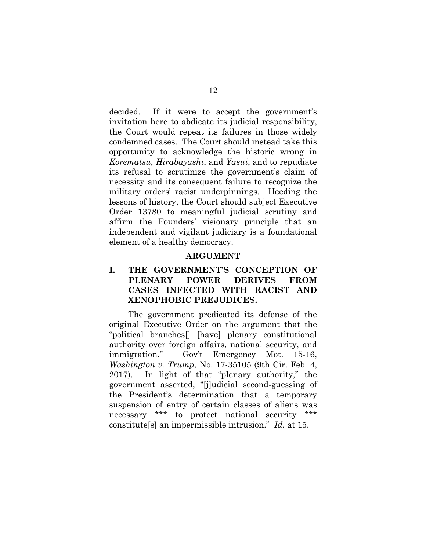decided. If it were to accept the government's invitation here to abdicate its judicial responsibility, the Court would repeat its failures in those widely condemned cases. The Court should instead take this opportunity to acknowledge the historic wrong in *Korematsu*, *Hirabayashi*, and *Yasui*, and to repudiate its refusal to scrutinize the government's claim of necessity and its consequent failure to recognize the military orders' racist underpinnings. Heeding the lessons of history, the Court should subject Executive Order 13780 to meaningful judicial scrutiny and affirm the Founders' visionary principle that an independent and vigilant judiciary is a foundational element of a healthy democracy.

#### **ARGUMENT**

### <span id="page-17-1"></span><span id="page-17-0"></span>**I. THE GOVERNMENT'S CONCEPTION OF PLENARY POWER DERIVES FROM CASES INFECTED WITH RACIST AND XENOPHOBIC PREJUDICES.**

The government predicated its defense of the original Executive Order on the argument that the "political branches[] [have] plenary constitutional authority over foreign affairs, national security, and immigration." Gov't Emergency Mot. 15-16, *Washington v. Trump*, No. 17-35105 (9th Cir. Feb. 4, 2017). In light of that "plenary authority," the government asserted, "[j]udicial second-guessing of the President's determination that a temporary suspension of entry of certain classes of aliens was necessary \*\*\* to protect national security \*\*\* constitute[s] an impermissible intrusion." *Id.* at 15.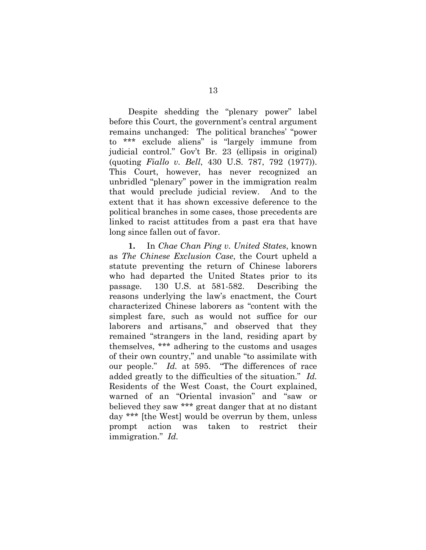<span id="page-18-2"></span>Despite shedding the "plenary power" label before this Court, the government's central argument remains unchanged: The political branches' "power to \*\*\* exclude aliens" is "largely immune from judicial control." Gov't Br. 23 (ellipsis in original) (quoting *Fiallo v. Bell*, 430 U.S. 787, 792 (1977)). This Court, however, has never recognized an unbridled "plenary" power in the immigration realm that would preclude judicial review. And to the extent that it has shown excessive deference to the political branches in some cases, those precedents are linked to racist attitudes from a past era that have long since fallen out of favor.

<span id="page-18-1"></span><span id="page-18-0"></span>**1.** In *Chae Chan Ping v. United States*, known as *The Chinese Exclusion Case*, the Court upheld a statute preventing the return of Chinese laborers who had departed the United States prior to its passage. 130 U.S. at 581-582. Describing the reasons underlying the law's enactment, the Court characterized Chinese laborers as "content with the simplest fare, such as would not suffice for our laborers and artisans," and observed that they remained "strangers in the land, residing apart by themselves, \*\*\* adhering to the customs and usages of their own country," and unable "to assimilate with our people." *Id.* at 595. "The differences of race added greatly to the difficulties of the situation." *Id.* Residents of the West Coast, the Court explained, warned of an "Oriental invasion" and "saw or believed they saw \*\*\* great danger that at no distant day \*\*\* [the West] would be overrun by them, unless prompt action was taken to restrict their immigration." *Id.*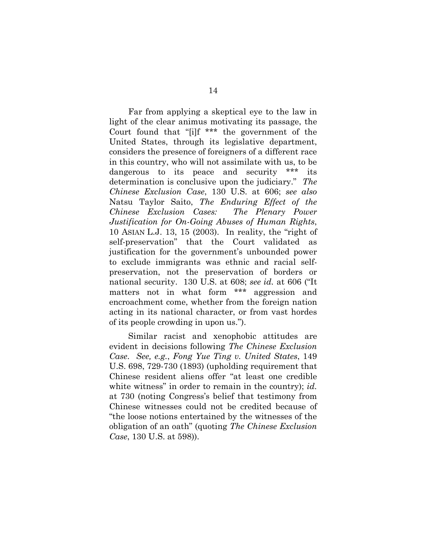<span id="page-19-2"></span>Far from applying a skeptical eye to the law in light of the clear animus motivating its passage, the Court found that "[i]f \*\*\* the government of the United States, through its legislative department, considers the presence of foreigners of a different race in this country, who will not assimilate with us, to be dangerous to its peace and security \*\*\* its determination is conclusive upon the judiciary." *The Chinese Exclusion Case*, 130 U.S. at 606; *see also*  Natsu Taylor Saito, *The Enduring Effect of the Chinese Exclusion Cases: The Plenary Power Justification for On-Going Abuses of Human Rights*, 10 ASIAN L.J. 13, 15 (2003). In reality, the "right of self-preservation" that the Court validated as justification for the government's unbounded power to exclude immigrants was ethnic and racial selfpreservation, not the preservation of borders or national security. 130 U.S. at 608; *see id.* at 606 ("It matters not in what form \*\*\* aggression and encroachment come, whether from the foreign nation acting in its national character, or from vast hordes of its people crowding in upon us.").

<span id="page-19-1"></span><span id="page-19-0"></span>Similar racist and xenophobic attitudes are evident in decisions following *The Chinese Exclusion Case*. *See, e.g.*, *Fong Yue Ting v. United States*, 149 U.S. 698, 729-730 (1893) (upholding requirement that Chinese resident aliens offer "at least one credible white witness" in order to remain in the country); *id.* at 730 (noting Congress's belief that testimony from Chinese witnesses could not be credited because of "the loose notions entertained by the witnesses of the obligation of an oath" (quoting *The Chinese Exclusion Case*, 130 U.S. at 598)).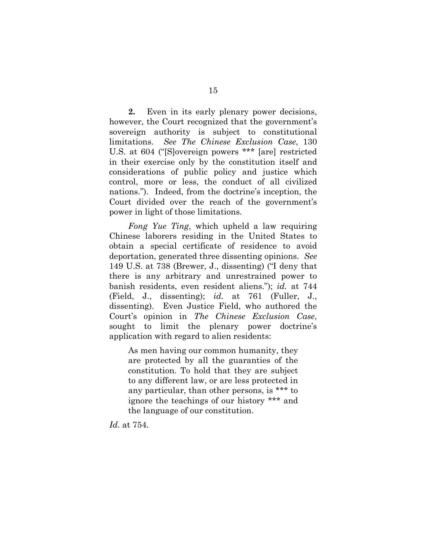**2.** Even in its early plenary power decisions, however, the Court recognized that the government's sovereign authority is subject to constitutional limitations. *See The Chinese Exclusion Case*, 130 U.S. at 604 ("[S]overeign powers \*\*\* [are] restricted in their exercise only by the constitution itself and considerations of public policy and justice which control, more or less, the conduct of all civilized nations."). Indeed, from the doctrine's inception, the Court divided over the reach of the government's power in light of those limitations.

<span id="page-20-0"></span>*Fong Yue Ting*, which upheld a law requiring Chinese laborers residing in the United States to obtain a special certificate of residence to avoid deportation, generated three dissenting opinions. *See* 149 U.S. at 738 (Brewer, J., dissenting) ("I deny that there is any arbitrary and unrestrained power to banish residents, even resident aliens."); *id.* at 744 (Field, J., dissenting); *id.* at 761 (Fuller, J., dissenting). Even Justice Field, who authored the Court's opinion in *The Chinese Exclusion Case*, sought to limit the plenary power doctrine's application with regard to alien residents:

As men having our common humanity, they are protected by all the guaranties of the constitution. To hold that they are subject to any different law, or are less protected in any particular, than other persons, is \*\*\* to ignore the teachings of our history \*\*\* and the language of our constitution.

*Id.* at 754.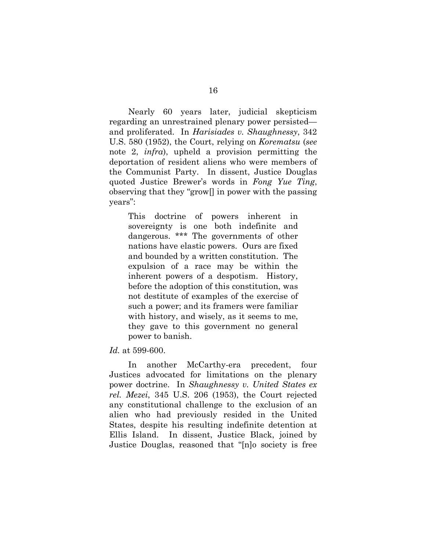<span id="page-21-0"></span>Nearly 60 years later, judicial skepticism regarding an unrestrained plenary power persisted and proliferated. In *Harisiades v. Shaughnessy*, 342 U.S. 580 (1952), the Court, relying on *Korematsu* (*see*  note 2, *infra*), upheld a provision permitting the deportation of resident aliens who were members of the Communist Party. In dissent, Justice Douglas quoted Justice Brewer's words in *Fong Yue Ting*, observing that they "grow[] in power with the passing years":

This doctrine of powers inherent in sovereignty is one both indefinite and dangerous. \*\*\* The governments of other nations have elastic powers. Ours are fixed and bounded by a written constitution. The expulsion of a race may be within the inherent powers of a despotism. History, before the adoption of this constitution, was not destitute of examples of the exercise of such a power; and its framers were familiar with history, and wisely, as it seems to me, they gave to this government no general power to banish.

#### *Id.* at 599-600.

<span id="page-21-1"></span>In another McCarthy-era precedent, four Justices advocated for limitations on the plenary power doctrine. In *Shaughnessy v. United States ex rel. Mezei*, 345 U.S. 206 (1953), the Court rejected any constitutional challenge to the exclusion of an alien who had previously resided in the United States, despite his resulting indefinite detention at Ellis Island. In dissent, Justice Black, joined by Justice Douglas, reasoned that "[n]o society is free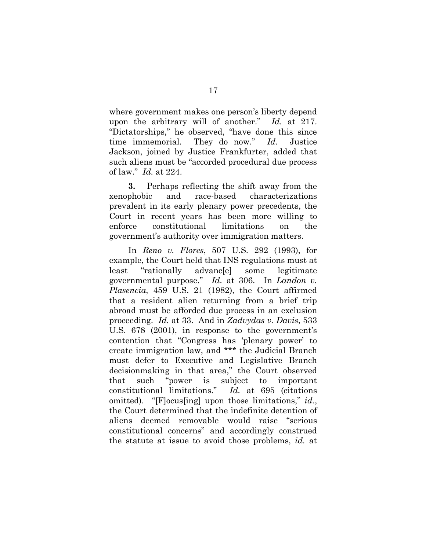<span id="page-22-2"></span>where government makes one person's liberty depend upon the arbitrary will of another." *Id.* at 217. "Dictatorships," he observed, "have done this since time immemorial. They do now." *Id.* Justice Jackson, joined by Justice Frankfurter, added that such aliens must be "accorded procedural due process of law." *Id.* at 224.

**3.** Perhaps reflecting the shift away from the xenophobic and race-based characterizations prevalent in its early plenary power precedents, the Court in recent years has been more willing to enforce constitutional limitations on the government's authority over immigration matters.

<span id="page-22-3"></span><span id="page-22-1"></span><span id="page-22-0"></span>In *Reno v. Flores*, 507 U.S. 292 (1993), for example, the Court held that INS regulations must at least "rationally advanc[e] some legitimate governmental purpose." *Id.* at 306. In *Landon v. Plasencia*, 459 U.S. 21 (1982), the Court affirmed that a resident alien returning from a brief trip abroad must be afforded due process in an exclusion proceeding. *Id.* at 33. And in *Zadvydas v. Davis*, 533 U.S. 678 (2001), in response to the government's contention that "Congress has 'plenary power' to create immigration law, and \*\*\* the Judicial Branch must defer to Executive and Legislative Branch decisionmaking in that area," the Court observed that such "power is subject to important constitutional limitations." *Id.* at 695 (citations omitted). "[F]ocus[ing] upon those limitations," *id.*, the Court determined that the indefinite detention of aliens deemed removable would raise "serious constitutional concerns" and accordingly construed the statute at issue to avoid those problems, *id.* at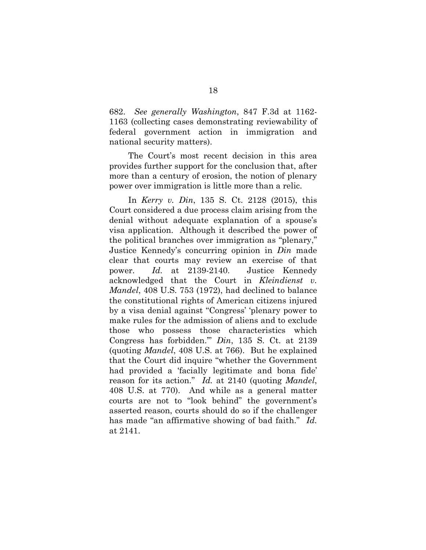<span id="page-23-2"></span>682. *See generally Washington*, 847 F.3d at 1162- 1163 (collecting cases demonstrating reviewability of federal government action in immigration and national security matters).

The Court's most recent decision in this area provides further support for the conclusion that, after more than a century of erosion, the notion of plenary power over immigration is little more than a relic.

<span id="page-23-1"></span><span id="page-23-0"></span>In *Kerry v. Din*, 135 S. Ct. 2128 (2015), this Court considered a due process claim arising from the denial without adequate explanation of a spouse's visa application. Although it described the power of the political branches over immigration as "plenary," Justice Kennedy's concurring opinion in *Din* made clear that courts may review an exercise of that power. *Id.* at 2139-2140. Justice Kennedy acknowledged that the Court in *Kleindienst v. Mandel*, 408 U.S. 753 (1972), had declined to balance the constitutional rights of American citizens injured by a visa denial against "Congress' 'plenary power to make rules for the admission of aliens and to exclude those who possess those characteristics which Congress has forbidden.'" *Din*, 135 S. Ct. at 2139 (quoting *Mandel*, 408 U.S. at 766). But he explained that the Court did inquire "whether the Government had provided a 'facially legitimate and bona fide' reason for its action." *Id.* at 2140 (quoting *Mandel*, 408 U.S. at 770). And while as a general matter courts are not to "look behind" the government's asserted reason, courts should do so if the challenger has made "an affirmative showing of bad faith." *Id.* at 2141.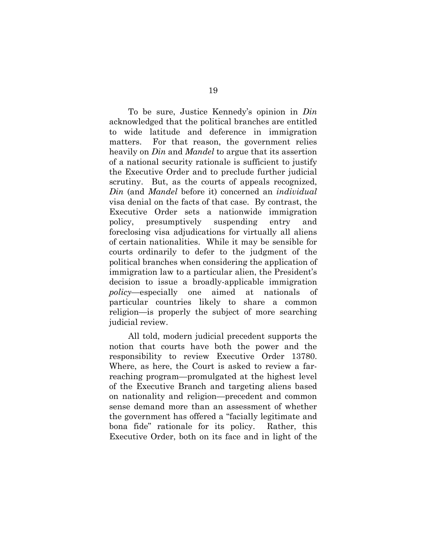To be sure, Justice Kennedy's opinion in *Din* acknowledged that the political branches are entitled to wide latitude and deference in immigration matters. For that reason, the government relies heavily on *Din* and *Mandel* to argue that its assertion of a national security rationale is sufficient to justify the Executive Order and to preclude further judicial scrutiny. But, as the courts of appeals recognized, *Din* (and *Mandel* before it) concerned an *individual* visa denial on the facts of that case. By contrast, the Executive Order sets a nationwide immigration policy, presumptively suspending entry and foreclosing visa adjudications for virtually all aliens of certain nationalities. While it may be sensible for courts ordinarily to defer to the judgment of the political branches when considering the application of immigration law to a particular alien, the President's decision to issue a broadly-applicable immigration *policy*—especially one aimed at nationals of particular countries likely to share a common religion—is properly the subject of more searching judicial review.

All told, modern judicial precedent supports the notion that courts have both the power and the responsibility to review Executive Order 13780. Where, as here, the Court is asked to review a farreaching program—promulgated at the highest level of the Executive Branch and targeting aliens based on nationality and religion—precedent and common sense demand more than an assessment of whether the government has offered a "facially legitimate and bona fide" rationale for its policy. Rather, this Executive Order, both on its face and in light of the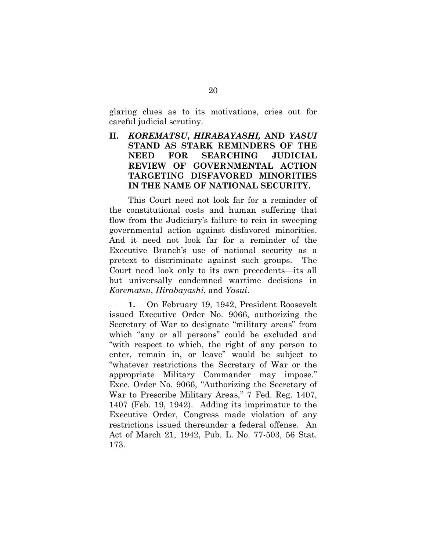glaring clues as to its motivations, cries out for careful judicial scrutiny.

## <span id="page-25-0"></span>**II.** *KOREMATSU***,** *HIRABAYASHI,* **AND** *YASUI*  **STAND AS STARK REMINDERS OF THE NEED FOR SEARCHING JUDICIAL REVIEW OF GOVERNMENTAL ACTION TARGETING DISFAVORED MINORITIES IN THE NAME OF NATIONAL SECURITY.**

This Court need not look far for a reminder of the constitutional costs and human suffering that flow from the Judiciary's failure to rein in sweeping governmental action against disfavored minorities. And it need not look far for a reminder of the Executive Branch's use of national security as a pretext to discriminate against such groups. The Court need look only to its own precedents—its all but universally condemned wartime decisions in *Korematsu*, *Hirabayashi*, and *Yasui*.

<span id="page-25-2"></span><span id="page-25-1"></span>**1.** On February 19, 1942, President Roosevelt issued Executive Order No. 9066, authorizing the Secretary of War to designate "military areas" from which "any or all persons" could be excluded and "with respect to which, the right of any person to enter, remain in, or leave" would be subject to "whatever restrictions the Secretary of War or the appropriate Military Commander may impose." Exec. Order No. 9066, "Authorizing the Secretary of War to Prescribe Military Areas," 7 Fed. Reg. 1407, 1407 (Feb. 19, 1942). Adding its imprimatur to the Executive Order, Congress made violation of any restrictions issued thereunder a federal offense. An Act of March 21, 1942, Pub. L. No. 77-503, 56 Stat. 173.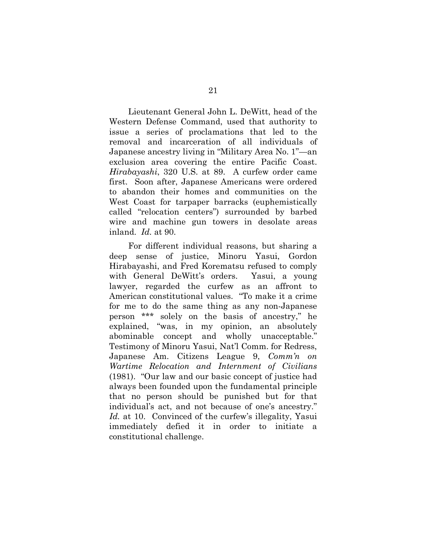Lieutenant General John L. DeWitt, head of the Western Defense Command, used that authority to issue a series of proclamations that led to the removal and incarceration of all individuals of Japanese ancestry living in "Military Area No. 1"—an exclusion area covering the entire Pacific Coast. *Hirabayashi*, 320 U.S. at 89. A curfew order came first. Soon after, Japanese Americans were ordered to abandon their homes and communities on the West Coast for tarpaper barracks (euphemistically called "relocation centers") surrounded by barbed wire and machine gun towers in desolate areas inland. *Id.* at 90.

For different individual reasons, but sharing a deep sense of justice, Minoru Yasui, Gordon Hirabayashi, and Fred Korematsu refused to comply with General DeWitt's orders. Yasui, a young lawyer, regarded the curfew as an affront to American constitutional values. "To make it a crime for me to do the same thing as any non-Japanese person \*\*\* solely on the basis of ancestry," he explained, "was, in my opinion, an absolutely abominable concept and wholly unacceptable." Testimony of Minoru Yasui, Nat'l Comm. for Redress, Japanese Am. Citizens League 9, *Comm'n on Wartime Relocation and Internment of Civilians* (1981). "Our law and our basic concept of justice had always been founded upon the fundamental principle that no person should be punished but for that individual's act, and not because of one's ancestry." Id. at 10. Convinced of the curfew's illegality, Yasui immediately defied it in order to initiate a constitutional challenge.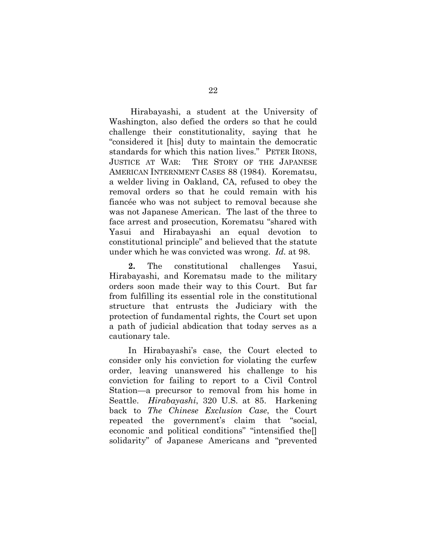Hirabayashi, a student at the University of Washington, also defied the orders so that he could challenge their constitutionality, saying that he "considered it [his] duty to maintain the democratic standards for which this nation lives." PETER IRONS, JUSTICE AT WAR: THE STORY OF THE JAPANESE AMERICAN INTERNMENT CASES 88 (1984). Korematsu, a welder living in Oakland, CA, refused to obey the removal orders so that he could remain with his fiancée who was not subject to removal because she was not Japanese American. The last of the three to face arrest and prosecution, Korematsu "shared with Yasui and Hirabayashi an equal devotion to constitutional principle" and believed that the statute under which he was convicted was wrong. *Id.* at 98.

**2.** The constitutional challenges Yasui, Hirabayashi, and Korematsu made to the military orders soon made their way to this Court. But far from fulfilling its essential role in the constitutional structure that entrusts the Judiciary with the protection of fundamental rights, the Court set upon a path of judicial abdication that today serves as a cautionary tale.

In Hirabayashi's case, the Court elected to consider only his conviction for violating the curfew order, leaving unanswered his challenge to his conviction for failing to report to a Civil Control Station—a precursor to removal from his home in Seattle. *Hirabayashi*, 320 U.S. at 85. Harkening back to *The Chinese Exclusion Case*, the Court repeated the government's claim that "social, economic and political conditions" "intensified the[] solidarity" of Japanese Americans and "prevented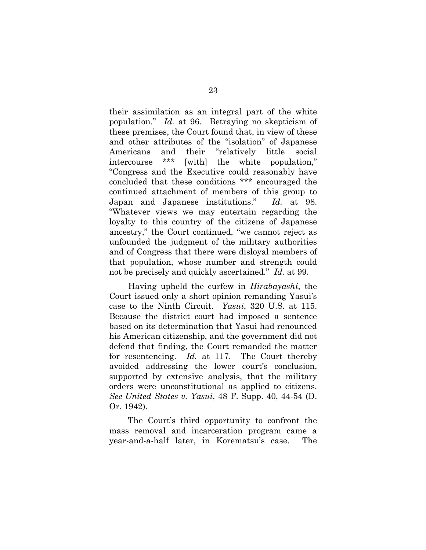their assimilation as an integral part of the white population." *Id.* at 96. Betraying no skepticism of these premises, the Court found that, in view of these and other attributes of the "isolation" of Japanese Americans and their "relatively little social intercourse \*\*\* [with] the white population," "Congress and the Executive could reasonably have concluded that these conditions \*\*\* encouraged the continued attachment of members of this group to Japan and Japanese institutions." *Id.* at 98. "Whatever views we may entertain regarding the loyalty to this country of the citizens of Japanese ancestry," the Court continued, "we cannot reject as unfounded the judgment of the military authorities and of Congress that there were disloyal members of that population, whose number and strength could not be precisely and quickly ascertained." *Id.* at 99.

Having upheld the curfew in *Hirabayashi*, the Court issued only a short opinion remanding Yasui's case to the Ninth Circuit. *Yasui*, 320 U.S. at 115. Because the district court had imposed a sentence based on its determination that Yasui had renounced his American citizenship, and the government did not defend that finding, the Court remanded the matter for resentencing. *Id.* at 117. The Court thereby avoided addressing the lower court's conclusion, supported by extensive analysis, that the military orders were unconstitutional as applied to citizens. *See United States v. Yasui*, 48 F. Supp. 40, 44-54 (D. Or. 1942).

<span id="page-28-0"></span>The Court's third opportunity to confront the mass removal and incarceration program came a year-and-a-half later, in Korematsu's case. The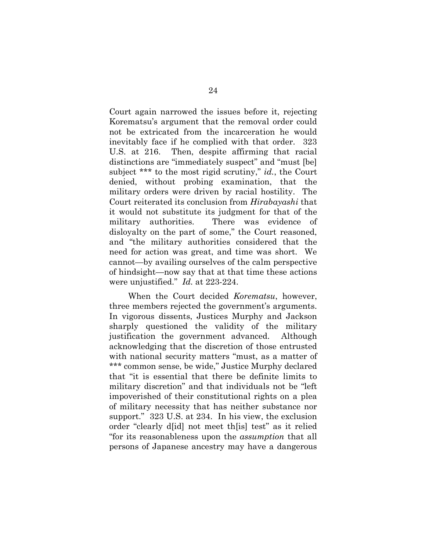Court again narrowed the issues before it, rejecting Korematsu's argument that the removal order could not be extricated from the incarceration he would inevitably face if he complied with that order. 323 U.S. at 216. Then, despite affirming that racial distinctions are "immediately suspect" and "must [be] subject \*\*\* to the most rigid scrutiny," *id.*, the Court denied, without probing examination, that the military orders were driven by racial hostility. The Court reiterated its conclusion from *Hirabayashi* that it would not substitute its judgment for that of the military authorities. There was evidence of disloyalty on the part of some," the Court reasoned, and "the military authorities considered that the need for action was great, and time was short. We cannot—by availing ourselves of the calm perspective of hindsight—now say that at that time these actions were unjustified." *Id.* at 223-224.

When the Court decided *Korematsu*, however, three members rejected the government's arguments. In vigorous dissents, Justices Murphy and Jackson sharply questioned the validity of the military justification the government advanced. Although acknowledging that the discretion of those entrusted with national security matters "must, as a matter of \*\*\* common sense, be wide," Justice Murphy declared that "it is essential that there be definite limits to military discretion" and that individuals not be "left impoverished of their constitutional rights on a plea of military necessity that has neither substance nor support." 323 U.S. at 234. In his view, the exclusion order "clearly d[id] not meet th[is] test" as it relied "for its reasonableness upon the *assumption* that all persons of Japanese ancestry may have a dangerous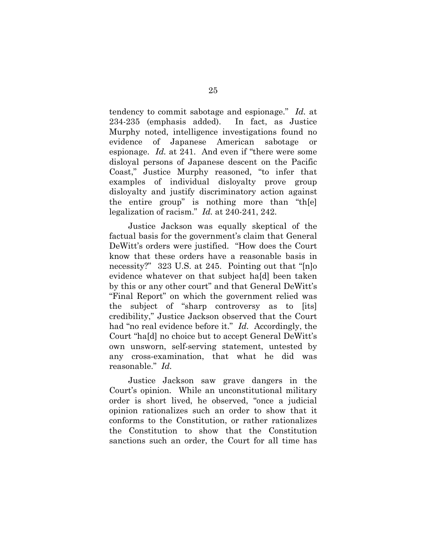tendency to commit sabotage and espionage." *Id.* at 234-235 (emphasis added). In fact, as Justice Murphy noted, intelligence investigations found no evidence of Japanese American sabotage or espionage. *Id.* at 241. And even if "there were some disloyal persons of Japanese descent on the Pacific Coast," Justice Murphy reasoned, "to infer that examples of individual disloyalty prove group disloyalty and justify discriminatory action against the entire group" is nothing more than "th[e] legalization of racism." *Id.* at 240-241, 242.

Justice Jackson was equally skeptical of the factual basis for the government's claim that General DeWitt's orders were justified. "How does the Court know that these orders have a reasonable basis in necessity?" 323 U.S. at 245. Pointing out that "[n]o evidence whatever on that subject ha[d] been taken by this or any other court" and that General DeWitt's "Final Report" on which the government relied was the subject of "sharp controversy as to [its] credibility," Justice Jackson observed that the Court had "no real evidence before it." *Id.* Accordingly, the Court "ha[d] no choice but to accept General DeWitt's own unsworn, self-serving statement, untested by any cross-examination, that what he did was reasonable." *Id.* 

Justice Jackson saw grave dangers in the Court's opinion. While an unconstitutional military order is short lived, he observed, "once a judicial opinion rationalizes such an order to show that it conforms to the Constitution, or rather rationalizes the Constitution to show that the Constitution sanctions such an order, the Court for all time has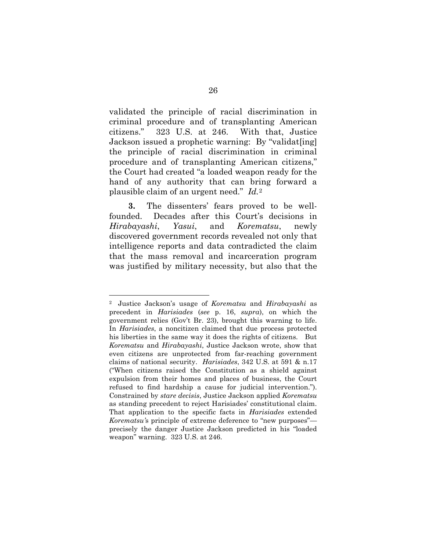validated the principle of racial discrimination in criminal procedure and of transplanting American citizens." 323 U.S. at 246. With that, Justice Jackson issued a prophetic warning: By "validat[ing] the principle of racial discrimination in criminal procedure and of transplanting American citizens," the Court had created "a loaded weapon ready for the hand of any authority that can bring forward a plausible claim of an urgent need." *Id.*[2](#page-31-1)

**3.** The dissenters' fears proved to be wellfounded. Decades after this Court's decisions in *Hirabayashi*, *Yasui*, and *Korematsu*, newly discovered government records revealed not only that intelligence reports and data contradicted the claim that the mass removal and incarceration program was justified by military necessity, but also that the

<span id="page-31-1"></span><span id="page-31-0"></span> <sup>2</sup> Justice Jackson's usage of *Korematsu* and *Hirabayashi* as precedent in *Harisiades* (*see* p. 16, *supra*), on which the government relies (Gov't Br. 23), brought this warning to life. In *Harisiades*, a noncitizen claimed that due process protected his liberties in the same way it does the rights of citizens. But *Korematsu* and *Hirabayashi*, Justice Jackson wrote, show that even citizens are unprotected from far-reaching government claims of national security. *Harisiades*, 342 U.S. at 591 & n.17 ("When citizens raised the Constitution as a shield against expulsion from their homes and places of business, the Court refused to find hardship a cause for judicial intervention."). Constrained by *stare decisis*, Justice Jackson applied *Korematsu* as standing precedent to reject Harisiades' constitutional claim. That application to the specific facts in *Harisiades* extended *Korematsu'*s principle of extreme deference to "new purposes" precisely the danger Justice Jackson predicted in his "loaded weapon" warning. 323 U.S. at 246.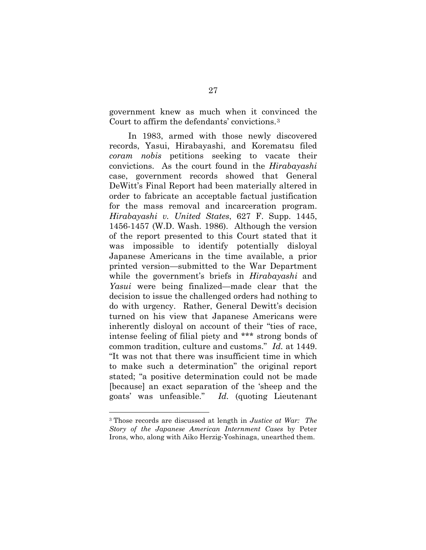government knew as much when it convinced the Court to affirm the defendants' convictions.[3](#page-32-1)

<span id="page-32-0"></span>In 1983, armed with those newly discovered records, Yasui, Hirabayashi, and Korematsu filed *coram nobis* petitions seeking to vacate their convictions. As the court found in the *Hirabayashi*  case, government records showed that General DeWitt's Final Report had been materially altered in order to fabricate an acceptable factual justification for the mass removal and incarceration program. *Hirabayashi v. United States*, 627 F. Supp. 1445, 1456-1457 (W.D. Wash. 1986). Although the version of the report presented to this Court stated that it was impossible to identify potentially disloyal Japanese Americans in the time available, a prior printed version—submitted to the War Department while the government's briefs in *Hirabayashi* and *Yasui* were being finalized—made clear that the decision to issue the challenged orders had nothing to do with urgency. Rather, General Dewitt's decision turned on his view that Japanese Americans were inherently disloyal on account of their "ties of race, intense feeling of filial piety and \*\*\* strong bonds of common tradition, culture and customs." *Id.* at 1449. "It was not that there was insufficient time in which to make such a determination" the original report stated; "a positive determination could not be made [because] an exact separation of the 'sheep and the goats' was unfeasible." *Id.* (quoting Lieutenant

<span id="page-32-1"></span> <sup>3</sup> Those records are discussed at length in *Justice at War: The Story of the Japanese American Internment Cases* by Peter Irons, who, along with Aiko Herzig-Yoshinaga, unearthed them.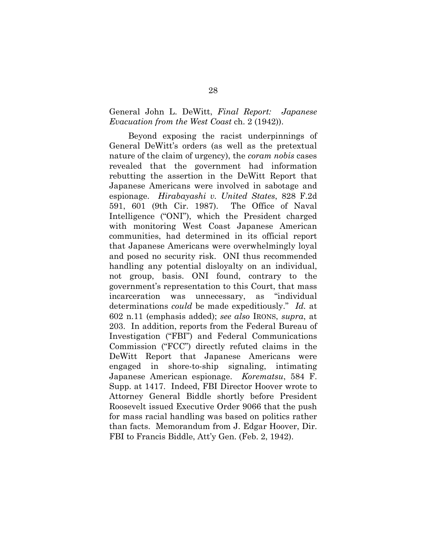### <span id="page-33-1"></span>General John L. DeWitt, *Final Report: Japanese Evacuation from the West Coast* ch. 2 (1942)).

<span id="page-33-0"></span>Beyond exposing the racist underpinnings of General DeWitt's orders (as well as the pretextual nature of the claim of urgency), the *coram nobis* cases revealed that the government had information rebutting the assertion in the DeWitt Report that Japanese Americans were involved in sabotage and espionage. *Hirabayashi v. United States*, 828 F.2d 591, 601 (9th Cir. 1987). The Office of Naval Intelligence ("ONI"), which the President charged with monitoring West Coast Japanese American communities, had determined in its official report that Japanese Americans were overwhelmingly loyal and posed no security risk. ONI thus recommended handling any potential disloyalty on an individual, not group, basis. ONI found, contrary to the government's representation to this Court, that mass incarceration was unnecessary, as "individual determinations *could* be made expeditiously." *Id.* at 602 n.11 (emphasis added); *see also* IRONS, *supra*, at 203. In addition, reports from the Federal Bureau of Investigation ("FBI") and Federal Communications Commission ("FCC") directly refuted claims in the DeWitt Report that Japanese Americans were engaged in shore-to-ship signaling, intimating Japanese American espionage. *Korematsu*, 584 F. Supp. at 1417. Indeed, FBI Director Hoover wrote to Attorney General Biddle shortly before President Roosevelt issued Executive Order 9066 that the push for mass racial handling was based on politics rather than facts. Memorandum from J. Edgar Hoover, Dir. FBI to Francis Biddle, Att'y Gen. (Feb. 2, 1942).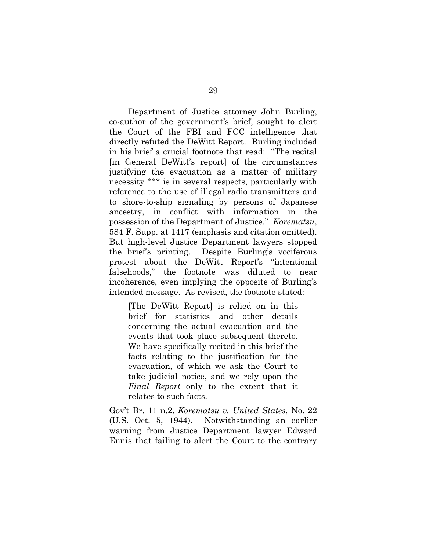Department of Justice attorney John Burling, co-author of the government's brief, sought to alert the Court of the FBI and FCC intelligence that directly refuted the DeWitt Report. Burling included in his brief a crucial footnote that read: "The recital [in General DeWitt's report] of the circumstances justifying the evacuation as a matter of military necessity \*\*\* is in several respects, particularly with reference to the use of illegal radio transmitters and to shore-to-ship signaling by persons of Japanese ancestry, in conflict with information in the possession of the Department of Justice." *Korematsu*, 584 F. Supp. at 1417 (emphasis and citation omitted). But high-level Justice Department lawyers stopped the brief's printing. Despite Burling's vociferous protest about the DeWitt Report's "intentional falsehoods," the footnote was diluted to near incoherence, even implying the opposite of Burling's intended message. As revised, the footnote stated:

[The DeWitt Report] is relied on in this brief for statistics and other details concerning the actual evacuation and the events that took place subsequent thereto. We have specifically recited in this brief the facts relating to the justification for the evacuation, of which we ask the Court to take judicial notice, and we rely upon the *Final Report* only to the extent that it relates to such facts.

Gov't Br. 11 n.2, *Korematsu v. United States*, No. 22 (U.S. Oct. 5, 1944). Notwithstanding an earlier warning from Justice Department lawyer Edward Ennis that failing to alert the Court to the contrary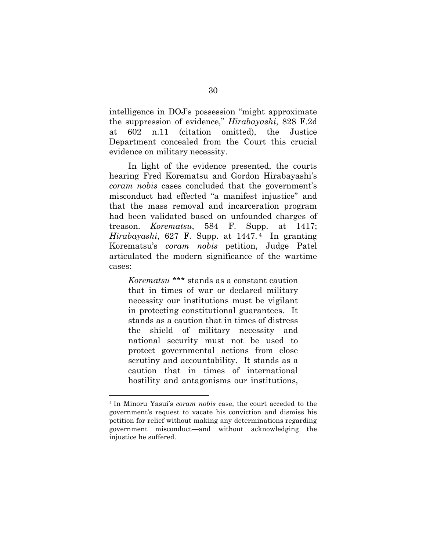<span id="page-35-0"></span>intelligence in DOJ's possession "might approximate the suppression of evidence," *Hirabayashi*, 828 F.2d at 602 n.11 (citation omitted), the Justice Department concealed from the Court this crucial evidence on military necessity.

In light of the evidence presented, the courts hearing Fred Korematsu and Gordon Hirabayashi's *coram nobis* cases concluded that the government's misconduct had effected "a manifest injustice" and that the mass removal and incarceration program had been validated based on unfounded charges of treason. *Korematsu*, 584 F. Supp. at 1417; *Hirabayashi*, 627 F. Supp. at 1447. [4](#page-35-2) In granting Korematsu's *coram nobis* petition, Judge Patel articulated the modern significance of the wartime cases:

<span id="page-35-1"></span>*Korematsu* \*\*\* stands as a constant caution that in times of war or declared military necessity our institutions must be vigilant in protecting constitutional guarantees. It stands as a caution that in times of distress the shield of military necessity and national security must not be used to protect governmental actions from close scrutiny and accountability. It stands as a caution that in times of international hostility and antagonisms our institutions,

<span id="page-35-2"></span> <sup>4</sup> In Minoru Yasui's *coram nobis* case, the court acceded to the government's request to vacate his conviction and dismiss his petition for relief without making any determinations regarding government misconduct—and without acknowledging the injustice he suffered.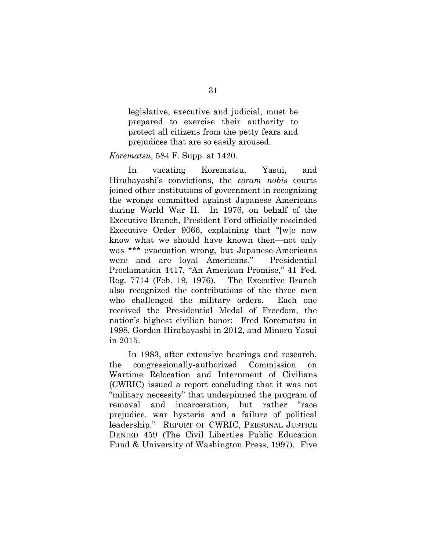legislative, executive and judicial, must be prepared to exercise their authority to protect all citizens from the petty fears and prejudices that are so easily aroused.

#### *Korematsu*, 584 F. Supp. at 1420.

In vacating Korematsu, Yasui, and Hirabayashi's convictions, the *coram nobis* courts joined other institutions of government in recognizing the wrongs committed against Japanese Americans during World War II. In 1976, on behalf of the Executive Branch, President Ford officially rescinded Executive Order 9066, explaining that "[w]e now know what we should have known then—not only was \*\*\* evacuation wrong, but Japanese-Americans were and are loyal Americans." Presidential Proclamation 4417, "An American Promise," 41 Fed. Reg. 7714 (Feb. 19, 1976)*.* The Executive Branch also recognized the contributions of the three men who challenged the military orders. Each one received the Presidential Medal of Freedom, the nation's highest civilian honor: Fred Korematsu in 1998, Gordon Hirabayashi in 2012, and Minoru Yasui in 2015.

<span id="page-36-1"></span><span id="page-36-0"></span>In 1983, after extensive hearings and research, the congressionally-authorized Commission on Wartime Relocation and Internment of Civilians (CWRIC) issued a report concluding that it was not "military necessity" that underpinned the program of removal and incarceration, but rather "race prejudice, war hysteria and a failure of political leadership." REPORT OF CWRIC, PERSONAL JUSTICE DENIED 459 (The Civil Liberties Public Education Fund & University of Washington Press, 1997). Five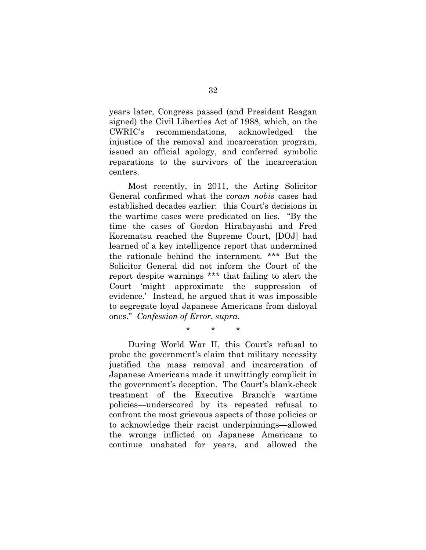years later, Congress passed (and President Reagan signed) the Civil Liberties Act of 1988, which, on the CWRIC's recommendations, acknowledged the injustice of the removal and incarceration program, issued an official apology, and conferred symbolic reparations to the survivors of the incarceration centers.

Most recently, in 2011, the Acting Solicitor General confirmed what the *coram nobis* cases had established decades earlier: this Court's decisions in the wartime cases were predicated on lies. "By the time the cases of Gordon Hirabayashi and Fred Korematsu reached the Supreme Court, [DOJ] had learned of a key intelligence report that undermined the rationale behind the internment. \*\*\* But the Solicitor General did not inform the Court of the report despite warnings \*\*\* that failing to alert the Court 'might approximate the suppression of evidence.' Instead, he argued that it was impossible to segregate loyal Japanese Americans from disloyal ones." *Confession of Error*, *supra*.

\* \* \*

During World War II, this Court's refusal to probe the government's claim that military necessity justified the mass removal and incarceration of Japanese Americans made it unwittingly complicit in the government's deception. The Court's blank-check treatment of the Executive Branch's wartime policies—underscored by its repeated refusal to confront the most grievous aspects of those policies or to acknowledge their racist underpinnings—allowed the wrongs inflicted on Japanese Americans to continue unabated for years, and allowed the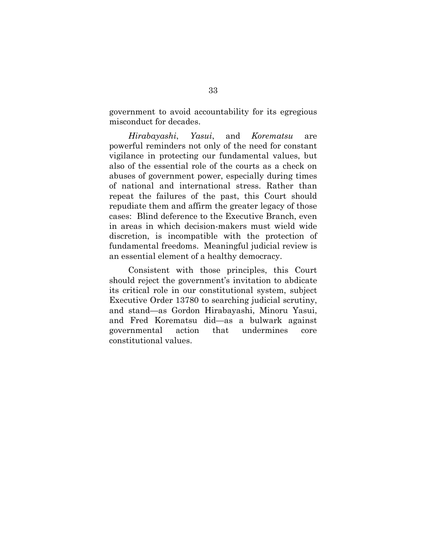government to avoid accountability for its egregious misconduct for decades.

*Hirabayashi*, *Yasui*, and *Korematsu* are powerful reminders not only of the need for constant vigilance in protecting our fundamental values, but also of the essential role of the courts as a check on abuses of government power, especially during times of national and international stress. Rather than repeat the failures of the past, this Court should repudiate them and affirm the greater legacy of those cases: Blind deference to the Executive Branch, even in areas in which decision-makers must wield wide discretion, is incompatible with the protection of fundamental freedoms. Meaningful judicial review is an essential element of a healthy democracy.

Consistent with those principles, this Court should reject the government's invitation to abdicate its critical role in our constitutional system, subject Executive Order 13780 to searching judicial scrutiny, and stand—as Gordon Hirabayashi, Minoru Yasui, and Fred Korematsu did—as a bulwark against governmental action that undermines core constitutional values.